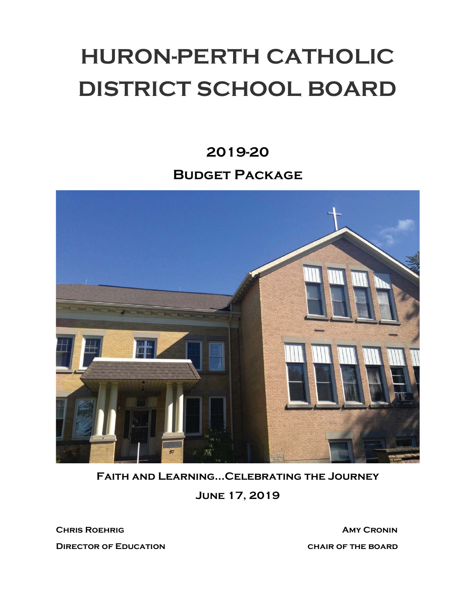# HURON-PERTH CATHOLIC DISTRICT SCHOOL BOARD

## 2019-20 Budget Package



Faith and Learning…Celebrating the Journey

June 17, 2019

**CHRIS ROEHRIG AMY CRONIN** DIRECTOR OF EDUCATION CHAIR OF THE BOARD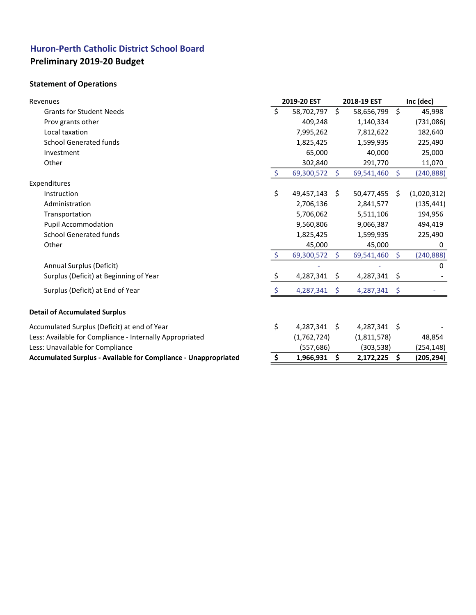## Huron-Perth Catholic District School Board Preliminary 2019-20 Budget

### Statement of Operations

| Revenues                                                               |                     | 2019-20 EST |    | 2018-19 EST |                      | Inc (dec)   |
|------------------------------------------------------------------------|---------------------|-------------|----|-------------|----------------------|-------------|
| <b>Grants for Student Needs</b>                                        | Ś                   | 58,702,797  | \$ | 58,656,799  | $\boldsymbol{\zeta}$ | 45,998      |
| Prov grants other                                                      |                     | 409,248     |    | 1,140,334   |                      | (731,086)   |
| Local taxation                                                         |                     | 7,995,262   |    | 7,812,622   |                      | 182,640     |
| <b>School Generated funds</b>                                          |                     | 1,825,425   |    | 1,599,935   |                      | 225,490     |
| Investment                                                             |                     | 65,000      |    | 40,000      |                      | 25,000      |
| Other                                                                  |                     | 302,840     |    | 291,770     |                      | 11,070      |
|                                                                        | $\zeta$             | 69,300,572  | Ś. | 69,541,460  | $\mathsf{S}$         | (240, 888)  |
| Expenditures                                                           |                     |             |    |             |                      |             |
| Instruction                                                            | \$                  | 49,457,143  | Ŝ. | 50,477,455  | - \$                 | (1,020,312) |
| Administration                                                         |                     | 2,706,136   |    | 2,841,577   |                      | (135, 441)  |
| Transportation                                                         |                     | 5,706,062   |    | 5,511,106   |                      | 194,956     |
| <b>Pupil Accommodation</b>                                             |                     | 9,560,806   |    | 9,066,387   |                      | 494,419     |
| <b>School Generated funds</b>                                          |                     | 1,825,425   |    | 1,599,935   |                      | 225,490     |
| Other                                                                  |                     | 45,000      |    | 45,000      |                      | 0           |
|                                                                        | $\ddot{\mathsf{S}}$ | 69,300,572  | Ś. | 69,541,460  | $\mathsf{S}$         | (240, 888)  |
| Annual Surplus (Deficit)                                               |                     |             |    |             |                      | 0           |
| Surplus (Deficit) at Beginning of Year                                 | \$                  | 4,287,341   | \$ | 4,287,341   | $\ddot{\mathsf{S}}$  |             |
| Surplus (Deficit) at End of Year                                       |                     | 4,287,341   | \$ | 4,287,341   | -\$                  |             |
| <b>Detail of Accumulated Surplus</b>                                   |                     |             |    |             |                      |             |
| Accumulated Surplus (Deficit) at end of Year                           | \$                  | 4,287,341   | Ŝ. | 4,287,341   | -\$                  |             |
| Less: Available for Compliance - Internally Appropriated               |                     | (1,762,724) |    | (1,811,578) |                      | 48,854      |
| Less: Unavailable for Compliance                                       |                     | (557, 686)  |    | (303, 538)  |                      | (254, 148)  |
| <b>Accumulated Surplus - Available for Compliance - Unappropriated</b> | \$                  | 1,966,931   | \$ | 2,172,225   | \$                   | (205, 294)  |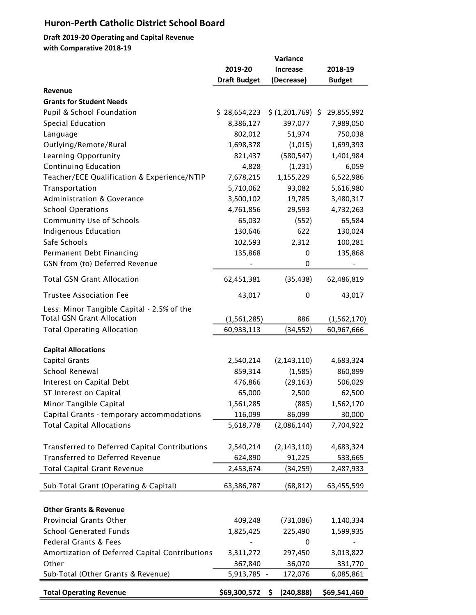## Huron-Perth Catholic District School Board

#### Draft 2019-20 Operating and Capital Revenue with Comparative 2018-19

|                                                | Variance            |                   |               |  |  |
|------------------------------------------------|---------------------|-------------------|---------------|--|--|
|                                                | 2019-20             | 2018-19           |               |  |  |
|                                                | <b>Draft Budget</b> | (Decrease)        | <b>Budget</b> |  |  |
| Revenue                                        |                     |                   |               |  |  |
| <b>Grants for Student Needs</b>                |                     |                   |               |  |  |
| Pupil & School Foundation                      | \$28,654,223        | \$ (1,201,769) \$ | 29,855,992    |  |  |
| Special Education                              | 8,386,127           | 397,077           | 7,989,050     |  |  |
| Language                                       | 802,012             | 51,974            | 750,038       |  |  |
| Outlying/Remote/Rural                          | 1,698,378           | (1,015)           | 1,699,393     |  |  |
| Learning Opportunity                           | 821,437             | (580, 547)        | 1,401,984     |  |  |
| <b>Continuing Education</b>                    | 4,828               | (1,231)           | 6,059         |  |  |
| Teacher/ECE Qualification & Experience/NTIP    | 7,678,215           | 1,155,229         | 6,522,986     |  |  |
| Transportation                                 | 5,710,062           | 93,082            | 5,616,980     |  |  |
| <b>Administration &amp; Goverance</b>          | 3,500,102           | 19,785            | 3,480,317     |  |  |
| <b>School Operations</b>                       | 4,761,856           | 29,593            | 4,732,263     |  |  |
| <b>Community Use of Schools</b>                | 65,032              | (552)             | 65,584        |  |  |
| <b>Indigenous Education</b>                    | 130,646             | 622               | 130,024       |  |  |
| Safe Schools                                   | 102,593             | 2,312             | 100,281       |  |  |
| Permanent Debt Financing                       | 135,868             | 0                 | 135,868       |  |  |
| GSN from (to) Deferred Revenue                 |                     | 0                 |               |  |  |
| <b>Total GSN Grant Allocation</b>              | 62,451,381          | (35, 438)         | 62,486,819    |  |  |
| <b>Trustee Association Fee</b>                 | 43,017              | 0                 | 43,017        |  |  |
| Less: Minor Tangible Capital - 2.5% of the     |                     |                   |               |  |  |
| <b>Total GSN Grant Allocation</b>              | (1,561,285)         | 886               | (1, 562, 170) |  |  |
| <b>Total Operating Allocation</b>              | 60,933,113          | (34, 552)         | 60,967,666    |  |  |
|                                                |                     |                   |               |  |  |
| <b>Capital Allocations</b>                     |                     |                   |               |  |  |
| <b>Capital Grants</b>                          | 2,540,214           | (2, 143, 110)     | 4,683,324     |  |  |
| School Renewal                                 | 859,314             | (1, 585)          | 860,899       |  |  |
| Interest on Capital Debt                       | 476,866             | (29, 163)         | 506,029       |  |  |
| ST Interest on Capital                         | 65,000              | 2,500             | 62,500        |  |  |
| Minor Tangible Capital                         | 1,561,285           | (885)             | 1,562,170     |  |  |
| Capital Grants - temporary accommodations      | 116,099             | 86,099            | 30,000        |  |  |
| <b>Total Capital Allocations</b>               | 5,618,778           | (2,086,144)       | 7,704,922     |  |  |
| Transferred to Deferred Capital Contributions  | 2,540,214           | (2, 143, 110)     | 4,683,324     |  |  |
| <b>Transferred to Deferred Revenue</b>         | 624,890             | 91,225            | 533,665       |  |  |
| <b>Total Capital Grant Revenue</b>             | 2,453,674           | (34, 259)         | 2,487,933     |  |  |
| Sub-Total Grant (Operating & Capital)          | 63,386,787          | (68, 812)         | 63,455,599    |  |  |
|                                                |                     |                   |               |  |  |
| <b>Other Grants &amp; Revenue</b>              |                     |                   |               |  |  |
| Provincial Grants Other                        | 409,248             | (731,086)         | 1,140,334     |  |  |
| <b>School Generated Funds</b>                  | 1,825,425           | 225,490           | 1,599,935     |  |  |
| <b>Federal Grants &amp; Fees</b>               |                     | 0                 |               |  |  |
| Amortization of Deferred Capital Contributions | 3,311,272           | 297,450           | 3,013,822     |  |  |
| Other                                          | 367,840             | 36,070            | 331,770       |  |  |
| Sub-Total (Other Grants & Revenue)             | 5,913,785 -         | 172,076           | 6,085,861     |  |  |
| <b>Total Operating Revenue</b>                 | \$69,300,572        | (240, 888)<br>\$. | \$69,541,460  |  |  |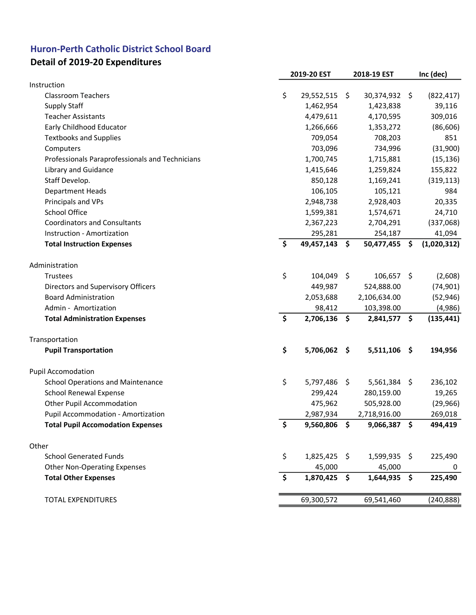## Huron-Perth Catholic District School Board

## Detail of 2019-20 Expenditures

|                                                 | 2019-20 EST         |         | 2018-19 EST    | Inc (dec)    |
|-------------------------------------------------|---------------------|---------|----------------|--------------|
| Instruction                                     |                     |         |                |              |
| <b>Classroom Teachers</b>                       | \$<br>29,552,515 \$ |         | 30,374,932 \$  | (822, 417)   |
| <b>Supply Staff</b>                             | 1,462,954           |         | 1,423,838      | 39,116       |
| <b>Teacher Assistants</b>                       | 4,479,611           |         | 4,170,595      | 309,016      |
| Early Childhood Educator                        | 1,266,666           |         | 1,353,272      | (86, 606)    |
| <b>Textbooks and Supplies</b>                   | 709,054             |         | 708,203        | 851          |
| Computers                                       | 703,096             |         | 734,996        | (31,900)     |
| Professionals Paraprofessionals and Technicians | 1,700,745           |         | 1,715,881      | (15, 136)    |
| Library and Guidance                            | 1,415,646           |         | 1,259,824      | 155,822      |
| Staff Develop.                                  | 850,128             |         | 1,169,241      | (319, 113)   |
| <b>Department Heads</b>                         | 106,105             |         | 105,121        | 984          |
| Principals and VPs                              | 2,948,738           |         | 2,928,403      | 20,335       |
| <b>School Office</b>                            | 1,599,381           |         | 1,574,671      | 24,710       |
| <b>Coordinators and Consultants</b>             | 2,367,223           |         | 2,704,291      | (337,068)    |
| Instruction - Amortization                      | 295,281             |         | 254,187        | 41,094       |
| <b>Total Instruction Expenses</b>               | \$<br>49,457,143    | \$      | 50,477,455 \$  | (1,020,312)  |
|                                                 |                     |         |                |              |
| Administration                                  | 104,049             |         |                |              |
| Trustees                                        | \$                  | \$      | 106,657 \$     | (2,608)      |
| Directors and Supervisory Officers              | 449,987             |         | 524,888.00     | (74, 901)    |
| <b>Board Administration</b>                     | 2,053,688           |         | 2,106,634.00   | (52, 946)    |
| Admin - Amortization                            | 98,412              |         | 103,398.00     | (4,986)      |
| <b>Total Administration Expenses</b>            | \$<br>2,706,136     | \$      | 2,841,577 \$   | (135, 441)   |
| Transportation                                  |                     |         |                |              |
| <b>Pupil Transportation</b>                     | \$<br>5,706,062     | \$      | $5,511,106$ \$ | 194,956      |
| <b>Pupil Accomodation</b>                       |                     |         |                |              |
| <b>School Operations and Maintenance</b>        | \$<br>5,797,486     | $\zeta$ | 5,561,384 \$   | 236,102      |
| <b>School Renewal Expense</b>                   | 299,424             |         | 280,159.00     | 19,265       |
| Other Pupil Accommodation                       | 475,962             |         | 505,928.00     | (29, 966)    |
| Pupil Accommodation - Amortization              | 2,987,934           |         | 2,718,916.00   | 269,018      |
| <b>Total Pupil Accomodation Expenses</b>        | \$<br>9,560,806 \$  |         | 9,066,387 \$   | 494,419      |
| Other                                           |                     |         |                |              |
| <b>School Generated Funds</b>                   | \$<br>1,825,425 \$  |         | 1,599,935 \$   | 225,490      |
| <b>Other Non-Operating Expenses</b>             | 45,000              |         |                |              |
| <b>Total Other Expenses</b>                     | \$<br>1,870,425     | \$      | 45,000         | 0<br>225,490 |
|                                                 |                     |         | $1,644,935$ \$ |              |
| <b>TOTAL EXPENDITURES</b>                       | 69,300,572          |         | 69,541,460     | (240, 888)   |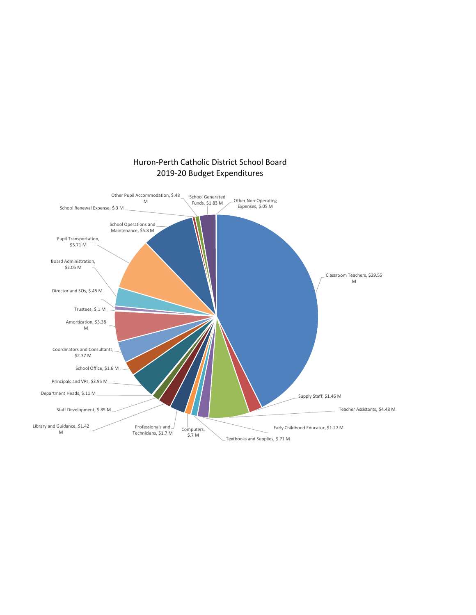

Huron-Perth Catholic District School Board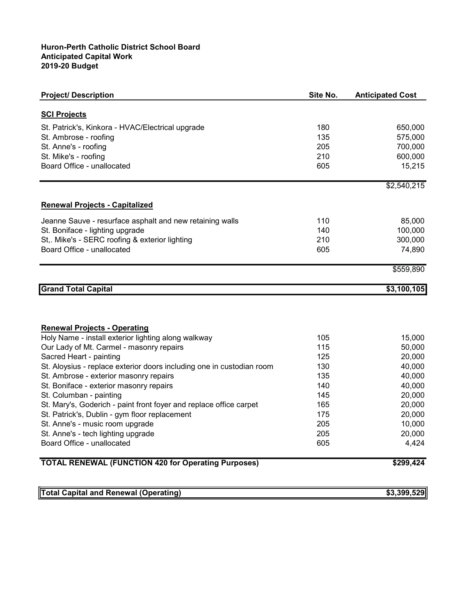#### Huron-Perth Catholic District School Board Anticipated Capital Work 2019-20 Budget

| <b>Project/ Description</b>                                           | Site No. | <b>Anticipated Cost</b> |
|-----------------------------------------------------------------------|----------|-------------------------|
| <b>SCI Projects</b>                                                   |          |                         |
| St. Patrick's, Kinkora - HVAC/Electrical upgrade                      | 180      | 650,000                 |
| St. Ambrose - roofing                                                 | 135      | 575,000                 |
| St. Anne's - roofing                                                  | 205      | 700,000                 |
| St. Mike's - roofing                                                  | 210      | 600,000                 |
| Board Office - unallocated                                            | 605      | 15,215                  |
|                                                                       |          |                         |
|                                                                       |          | \$2,540,215             |
| <b>Renewal Projects - Capitalized</b>                                 |          |                         |
| Jeanne Sauve - resurface asphalt and new retaining walls              | 110      | 85,000                  |
| St. Boniface - lighting upgrade                                       | 140      | 100,000                 |
| St,. Mike's - SERC roofing & exterior lighting                        | 210      | 300,000                 |
| Board Office - unallocated                                            | 605      | 74,890                  |
|                                                                       |          | \$559,890               |
|                                                                       |          |                         |
| <b>Grand Total Capital</b>                                            |          | \$3,100,105             |
|                                                                       |          |                         |
|                                                                       |          |                         |
| <b>Renewal Projects - Operating</b>                                   |          |                         |
| Holy Name - install exterior lighting along walkway                   | 105      | 15,000                  |
| Our Lady of Mt. Carmel - masonry repairs                              | 115      | 50,000                  |
| Sacred Heart - painting                                               | 125      | 20,000                  |
| St. Aloysius - replace exterior doors including one in custodian room | 130      | 40,000                  |
| St. Ambrose - exterior masonry repairs                                | 135      | 40,000                  |
| St. Boniface - exterior masonry repairs                               | 140      | 40,000                  |
| St. Columban - painting                                               | 145      | 20,000                  |
| St. Mary's, Goderich - paint front foyer and replace office carpet    | 165      | 20,000                  |
| St. Patrick's, Dublin - gym floor replacement                         | 175      | 20,000                  |
| St. Anne's - music room upgrade                                       | 205      | 10,000                  |
| St. Anne's - tech lighting upgrade                                    | 205      | 20,000                  |
| Board Office - unallocated                                            | 605      | 4,424                   |
| <b>TOTAL RENEWAL (FUNCTION 420 for Operating Purposes)</b>            |          | \$299,424               |
|                                                                       |          |                         |
| <b>Total Capital and Renewal (Operating)</b>                          |          | \$3,399,529             |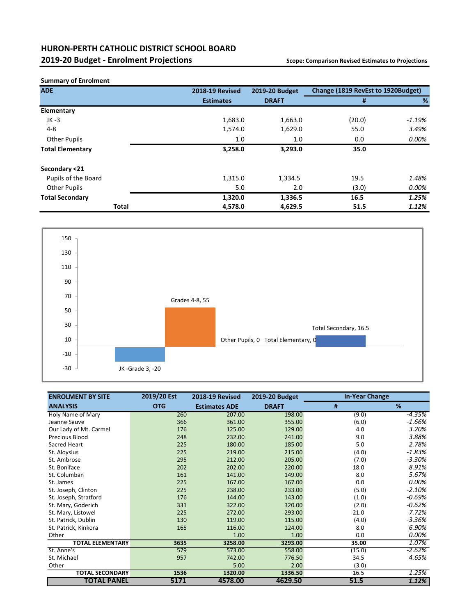#### HURON-PERTH CATHOLIC DISTRICT SCHOOL BOARD 2019-20 Budget - Enrolment Projections **Scope: Comparison Revised Estimates to Projections**

| <b>ADE</b>              | <b>2018-19 Revised</b> | 2019-20 Budget | Change (1819 RevEst to 1920Budget) |          |  |  |
|-------------------------|------------------------|----------------|------------------------------------|----------|--|--|
|                         | <b>Estimates</b>       | <b>DRAFT</b>   | #                                  | %        |  |  |
| Elementary              |                        |                |                                    |          |  |  |
| $JK -3$                 | 1,683.0                | 1,663.0        | (20.0)                             | $-1.19%$ |  |  |
| $4 - 8$                 | 1,574.0                | 1,629.0        | 55.0                               | 3.49%    |  |  |
| <b>Other Pupils</b>     | 1.0                    | 1.0            | 0.0                                | 0.00%    |  |  |
| <b>Total Elementary</b> | 3,258.0                | 3,293.0        | 35.0                               |          |  |  |
| Secondary <21           |                        |                |                                    |          |  |  |
| Pupils of the Board     | 1,315.0                | 1,334.5        | 19.5                               | 1.48%    |  |  |
| <b>Other Pupils</b>     | 5.0                    | 2.0            | (3.0)                              | 0.00%    |  |  |
| <b>Total Secondary</b>  | 1,320.0                | 1,336.5        | 16.5                               | 1.25%    |  |  |
| Total                   | 4,578.0                | 4,629.5        | 51.5                               | 1.12%    |  |  |



| <b>ENROLMENT BY SITE</b> | 2019/20 Est | <b>2018-19 Revised</b> | 2019-20 Budget | <b>In-Year Change</b> |          |
|--------------------------|-------------|------------------------|----------------|-----------------------|----------|
| <b>ANALYSIS</b>          | <b>OTG</b>  | <b>Estimates ADE</b>   | <b>DRAFT</b>   | #                     | %        |
| Holy Name of Mary        | 260         | 207.00                 | 198.00         | (9.0)                 | -4.35%   |
| Jeanne Sauve             | 366         | 361.00                 | 355.00         | (6.0)                 | $-1.66%$ |
| Our Lady of Mt. Carmel   | 176         | 125.00                 | 129.00         | 4.0                   | 3.20%    |
| Precious Blood           | 248         | 232.00                 | 241.00         | 9.0                   | 3.88%    |
| Sacred Heart             | 225         | 180.00                 | 185.00         | 5.0                   | 2.78%    |
| St. Aloysius             | 225         | 219.00                 | 215.00         | (4.0)                 | $-1.83%$ |
| St. Ambrose              | 295         | 212.00                 | 205.00         | (7.0)                 | $-3.30%$ |
| St. Boniface             | 202         | 202.00                 | 220.00         | 18.0                  | 8.91%    |
| St. Columban             | 161         | 141.00                 | 149.00         | 8.0                   | 5.67%    |
| St. James                | 225         | 167.00                 | 167.00         | 0.0                   | 0.00%    |
| St. Joseph, Clinton      | 225         | 238.00                 | 233.00         | (5.0)                 | $-2.10%$ |
| St. Joseph, Stratford    | 176         | 144.00                 | 143.00         | (1.0)                 | $-0.69%$ |
| St. Mary, Goderich       | 331         | 322.00                 | 320.00         | (2.0)                 | $-0.62%$ |
| St. Mary, Listowel       | 225         | 272.00                 | 293.00         | 21.0                  | 7.72%    |
| St. Patrick, Dublin      | 130         | 119.00                 | 115.00         | (4.0)                 | $-3.36%$ |
| St. Patrick, Kinkora     | 165         | 116.00                 | 124.00         | 8.0                   | 6.90%    |
| Other                    |             | 1.00                   | 1.00           | 0.0                   | 0.00%    |
| <b>TOTAL ELEMENTARY</b>  | 3635        | 3258.00                | 3293.00        | 35.00                 | 1.07%    |
| St. Anne's               | 579         | 573.00                 | 558.00         | (15.0)                | $-2.62%$ |
| St. Michael              | 957         | 742.00                 | 776.50         | 34.5                  | 4.65%    |
| Other                    |             | 5.00                   | 2.00           | (3.0)                 |          |
| <b>TOTAL SECONDARY</b>   | 1536        | 1320.00                | 1336.50        | 16.5                  | 1.25%    |
| <b>TOTAL PANEL</b>       | 5171        | 4578.00                | 4629.50        | 51.5                  | 1.12%    |

#### Summary of Enrolment